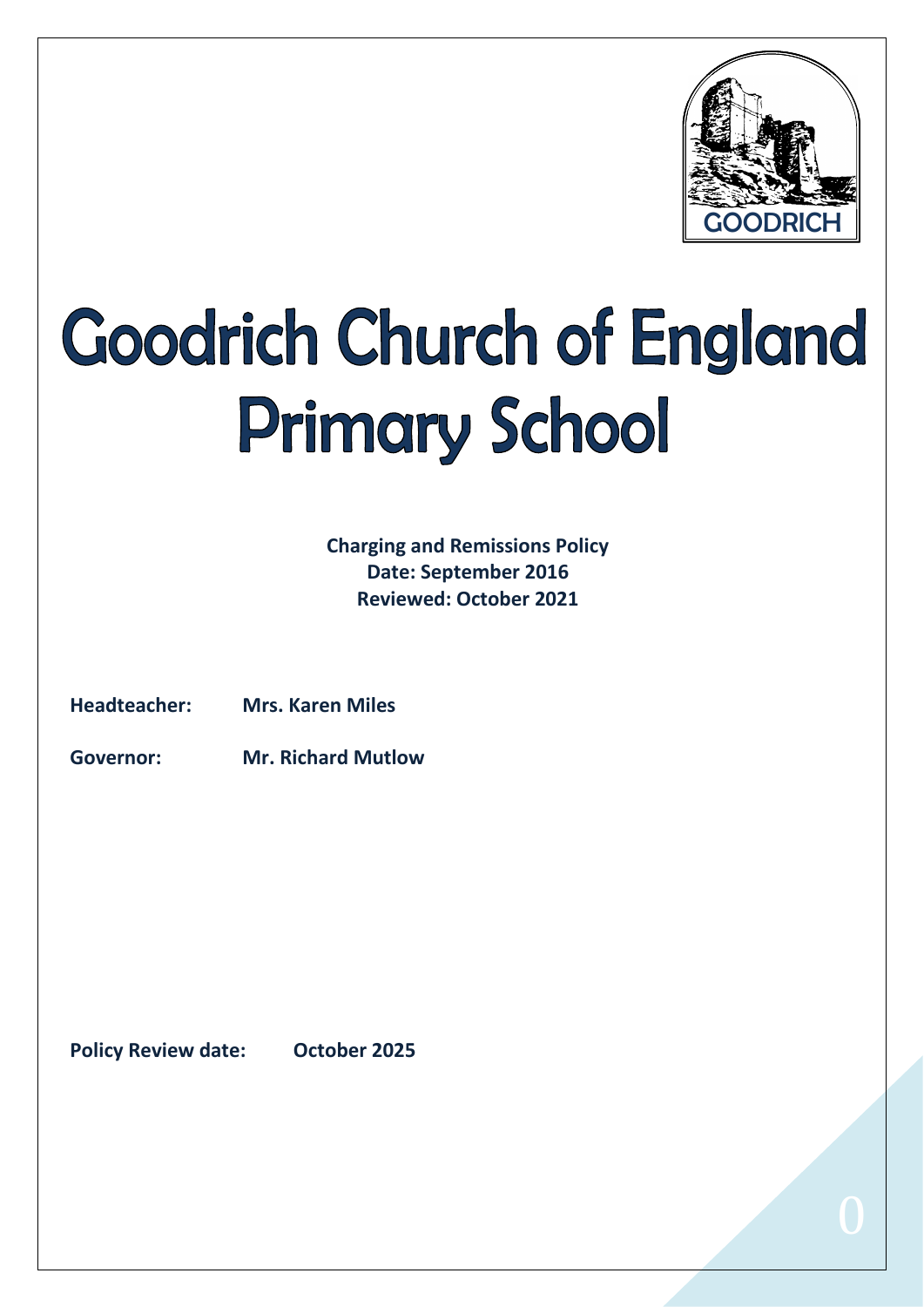

# **Goodrich Church of England Primary School**

**Charging and Remissions Policy Date: September 2016 Reviewed: October 2021**

**Headteacher: Mrs. Karen Miles**

**Governor: Mr. Richard Mutlow**

**Policy Review date: October 2025**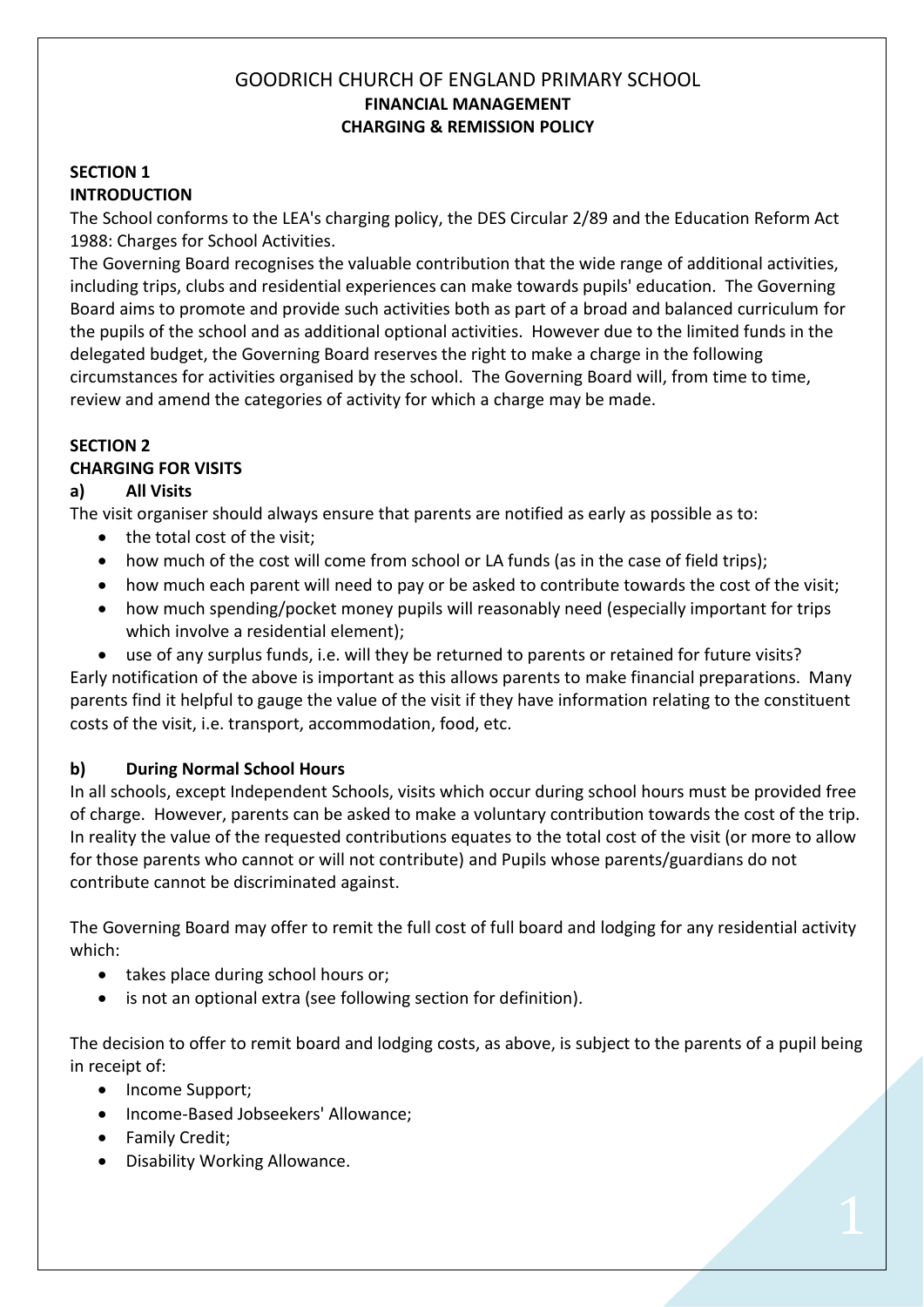# GOODRICH CHURCH OF ENGLAND PRIMARY SCHOOL **FINANCIAL MANAGEMENT CHARGING & REMISSION POLICY**

#### **SECTION 1 INTRODUCTION**

The School conforms to the LEA's charging policy, the DES Circular 2/89 and the Education Reform Act 1988: Charges for School Activities.

The Governing Board recognises the valuable contribution that the wide range of additional activities, including trips, clubs and residential experiences can make towards pupils' education. The Governing Board aims to promote and provide such activities both as part of a broad and balanced curriculum for the pupils of the school and as additional optional activities. However due to the limited funds in the delegated budget, the Governing Board reserves the right to make a charge in the following circumstances for activities organised by the school. The Governing Board will, from time to time, review and amend the categories of activity for which a charge may be made.

### **SECTION 2**

### **CHARGING FOR VISITS**

### **a) All Visits**

The visit organiser should always ensure that parents are notified as early as possible as to:

- the total cost of the visit;
- how much of the cost will come from school or LA funds (as in the case of field trips);
- how much each parent will need to pay or be asked to contribute towards the cost of the visit;
- how much spending/pocket money pupils will reasonably need (especially important for trips which involve a residential element);
- use of any surplus funds, i.e. will they be returned to parents or retained for future visits?

Early notification of the above is important as this allows parents to make financial preparations. Many parents find it helpful to gauge the value of the visit if they have information relating to the constituent costs of the visit, i.e. transport, accommodation, food, etc.

### **b) During Normal School Hours**

In all schools, except Independent Schools, visits which occur during school hours must be provided free of charge. However, parents can be asked to make a voluntary contribution towards the cost of the trip. In reality the value of the requested contributions equates to the total cost of the visit (or more to allow for those parents who cannot or will not contribute) and Pupils whose parents/guardians do not contribute cannot be discriminated against.

The Governing Board may offer to remit the full cost of full board and lodging for any residential activity which:

- takes place during school hours or;
- is not an optional extra (see following section for definition).

The decision to offer to remit board and lodging costs, as above, is subject to the parents of a pupil being in receipt of:

- Income Support;
- Income-Based Jobseekers' Allowance;
- Family Credit;
- Disability Working Allowance.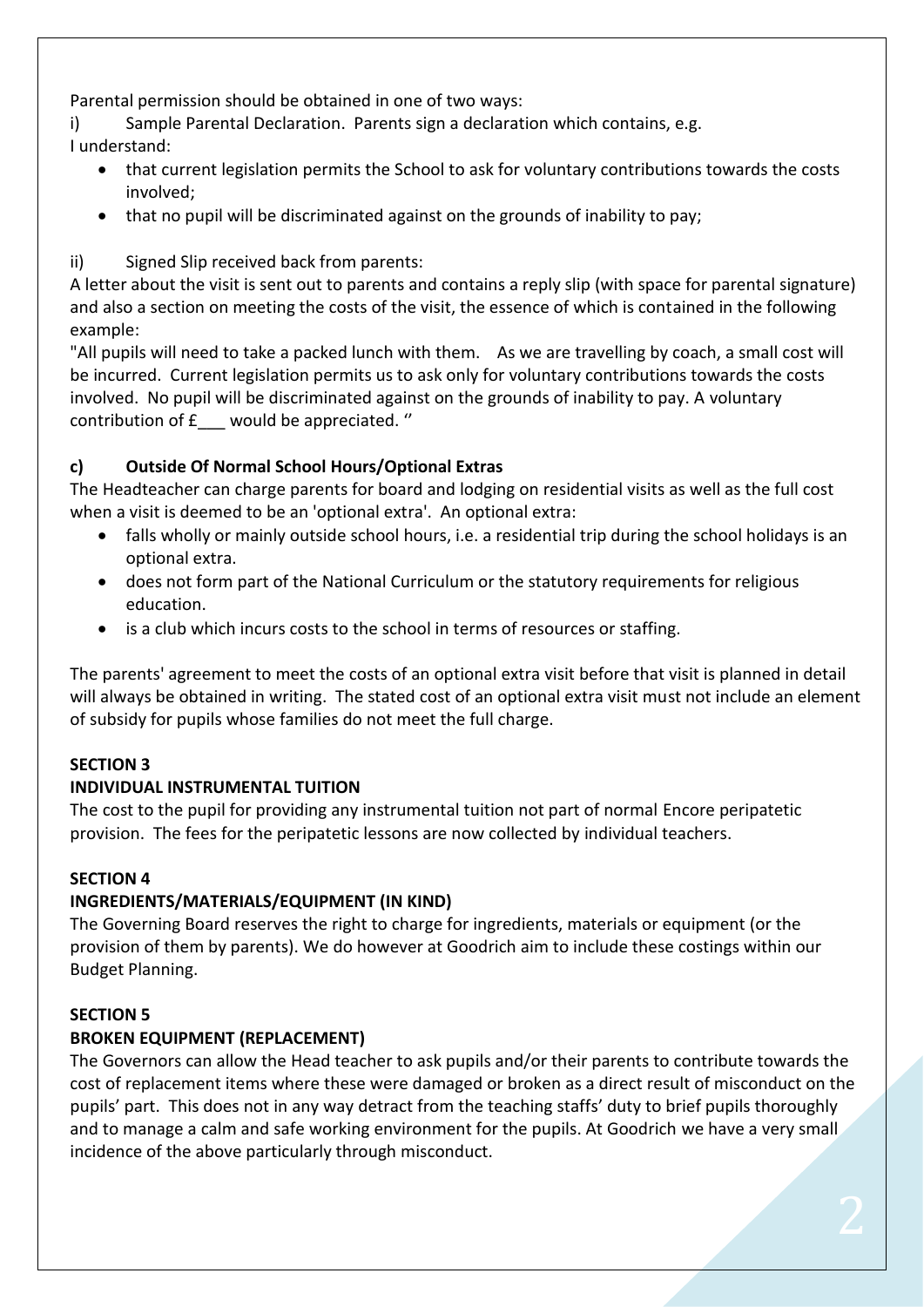Parental permission should be obtained in one of two ways:

i) Sample Parental Declaration. Parents sign a declaration which contains, e.g. I understand:

- that current legislation permits the School to ask for voluntary contributions towards the costs involved;
- that no pupil will be discriminated against on the grounds of inability to pay;
- ii) Signed Slip received back from parents:

A letter about the visit is sent out to parents and contains a reply slip (with space for parental signature) and also a section on meeting the costs of the visit, the essence of which is contained in the following example:

"All pupils will need to take a packed lunch with them. As we are travelling by coach, a small cost will be incurred. Current legislation permits us to ask only for voluntary contributions towards the costs involved. No pupil will be discriminated against on the grounds of inability to pay. A voluntary contribution of £\_\_\_ would be appreciated. ''

# **c) Outside Of Normal School Hours/Optional Extras**

The Headteacher can charge parents for board and lodging on residential visits as well as the full cost when a visit is deemed to be an 'optional extra'. An optional extra:

- falls wholly or mainly outside school hours, i.e. a residential trip during the school holidays is an optional extra.
- does not form part of the National Curriculum or the statutory requirements for religious education.
- is a club which incurs costs to the school in terms of resources or staffing.

The parents' agreement to meet the costs of an optional extra visit before that visit is planned in detail will always be obtained in writing. The stated cost of an optional extra visit must not include an element of subsidy for pupils whose families do not meet the full charge.

### **SECTION 3**

### **INDIVIDUAL INSTRUMENTAL TUITION**

The cost to the pupil for providing any instrumental tuition not part of normal Encore peripatetic provision. The fees for the peripatetic lessons are now collected by individual teachers.

### **SECTION 4**

### **INGREDIENTS/MATERIALS/EQUIPMENT (IN KIND)**

The Governing Board reserves the right to charge for ingredients, materials or equipment (or the provision of them by parents). We do however at Goodrich aim to include these costings within our Budget Planning.

### **SECTION 5**

### **BROKEN EQUIPMENT (REPLACEMENT)**

The Governors can allow the Head teacher to ask pupils and/or their parents to contribute towards the cost of replacement items where these were damaged or broken as a direct result of misconduct on the pupils' part. This does not in any way detract from the teaching staffs' duty to brief pupils thoroughly and to manage a calm and safe working environment for the pupils. At Goodrich we have a very small incidence of the above particularly through misconduct.